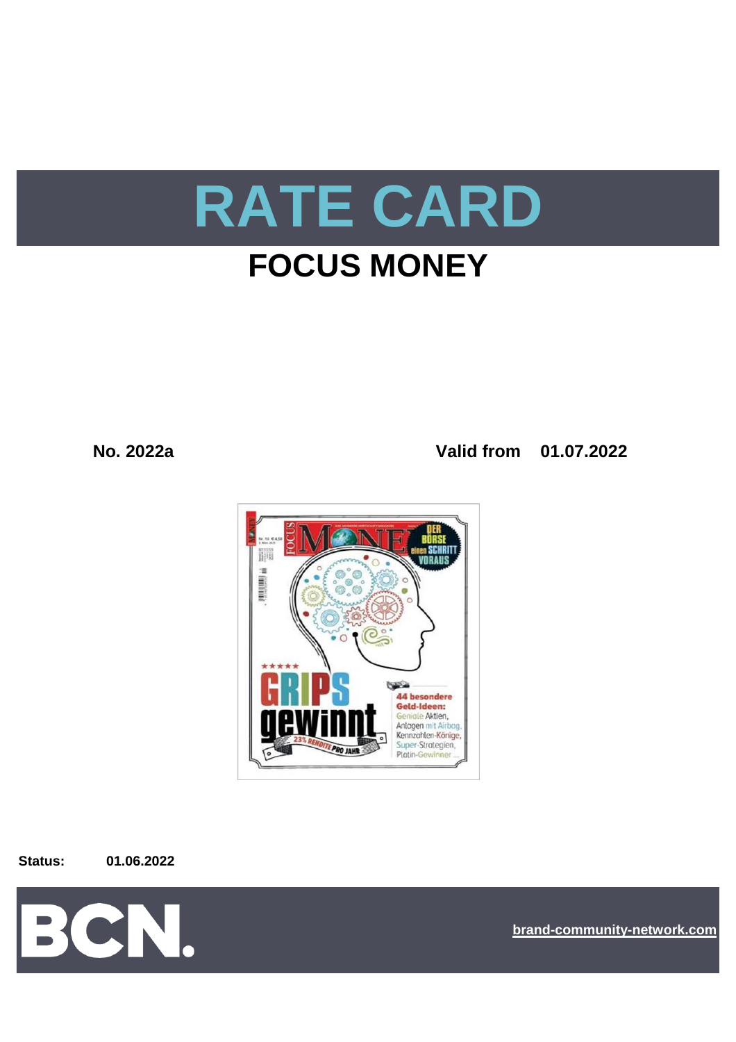

# **FOCUS MONEY**

**No. 2022a Valid from 01.07.2022**



**Status: 01.06.2022**



**[bra](https://bcn.burda.com/)nd-community-network.com**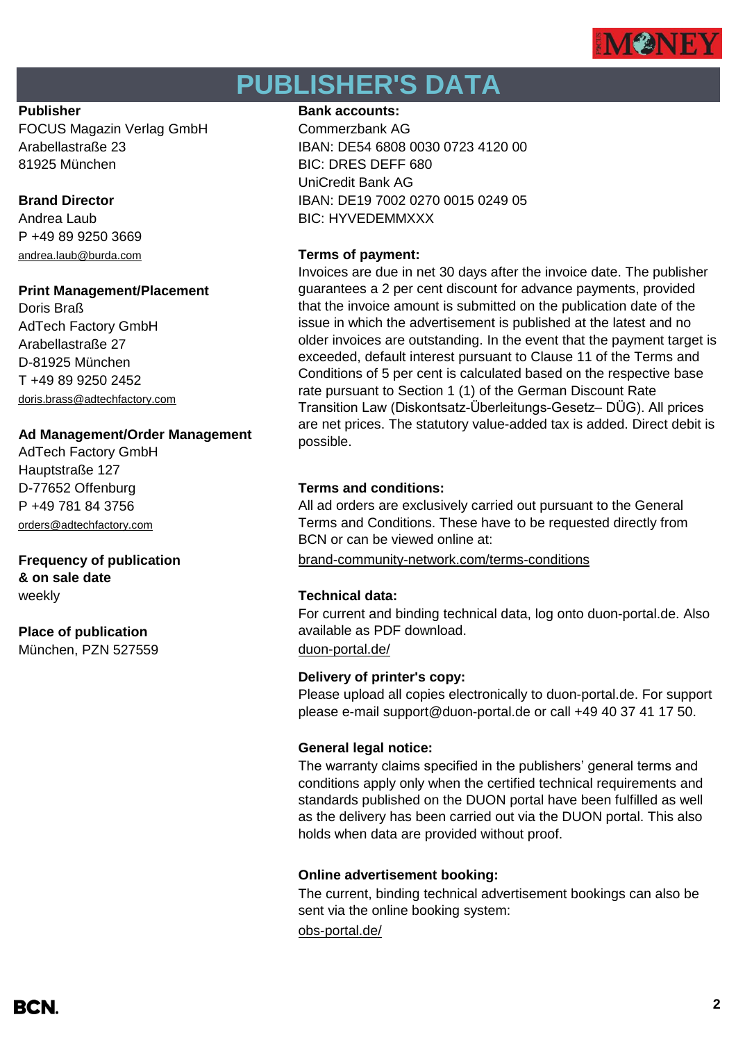

# **PUBLISHER'S DATA**

FOCUS Magazin Verlag GmbH Commerzbank AG 81925 München BIC: DRES DEFF 680

P +49 89 9250 3669 [andrea.laub@burda.com](mailto:heike.lauber@burda.com) **Terms of payment:**

### **Print Management/Placement**

Doris Braß AdTech Factory GmbH Arabellastraße 27 D-81925 München T +49 89 9250 2452 [doris.brass@adtechfactory.com](mailto:doris.brass@adtechfactory.com)

### **Ad Management/Order Management**

AdTech Factory GmbH Hauptstraße 127 P +49 781 84 3756 [orders@adtechfactory.com](mailto:orders@adtechfactory.com)

# **& on sale date**

## **Place of publication** München, PZN 527559 [duon-portal.de/](https://duon-portal.de/)

#### **Publisher Bank accounts: Bank accounts:**

Arabellastraße 23 IBAN: DE54 6808 0030 0723 4120 00 UniCredit Bank AG **Brand Director IBAN: DE19 7002 0270 0015 0249 05** Andrea Laub BIC: HYVEDEMMXXX

Invoices are due in net 30 days after the invoice date. The publisher guarantees a 2 per cent discount for advance payments, provided that the invoice amount is submitted on the publication date of the issue in which the advertisement is published at the latest and no older invoices are outstanding. In the event that the payment target is exceeded, default interest pursuant to Clause 11 of the Terms and Conditions of 5 per cent is calculated based on the respective base rate pursuant to Section 1 (1) of the German Discount Rate Transition Law (Diskontsatz-Überleitungs-Gesetz– DÜG). All prices are net prices. The statutory value-added tax is added. Direct debit is possible.

### D-77652 Offenburg **Terms and conditions:**

All ad orders are exclusively carried out pursuant to the General Terms and Conditions. These have to be requested directly from BCN or can be viewed online at:

**Frequency of publication** [brand-community-network.com/terms-conditions](https://bcn.burda.com/terms-conditions)

### weekly **Technical data:**

For current and binding technical data, log onto duon-portal.de. Also available as PDF download.

### **Delivery of printer's copy:**

Please upload all copies electronically to duon-portal.de. For support please e-mail support@duon-portal.de or call +49 40 37 41 17 50.

### **General legal notice:**

The warranty claims specified in the publishers' general terms and conditions apply only when the certified technical requirements and standards published on the DUON portal have been fulfilled as well as the delivery has been carried out via the DUON portal. This also holds when data are provided without proof.

### **Online advertisement booking:**

The current, binding technical advertisement bookings can also be sent via the online booking system:

[obs-portal.de/](https://www.obs-portal.de/)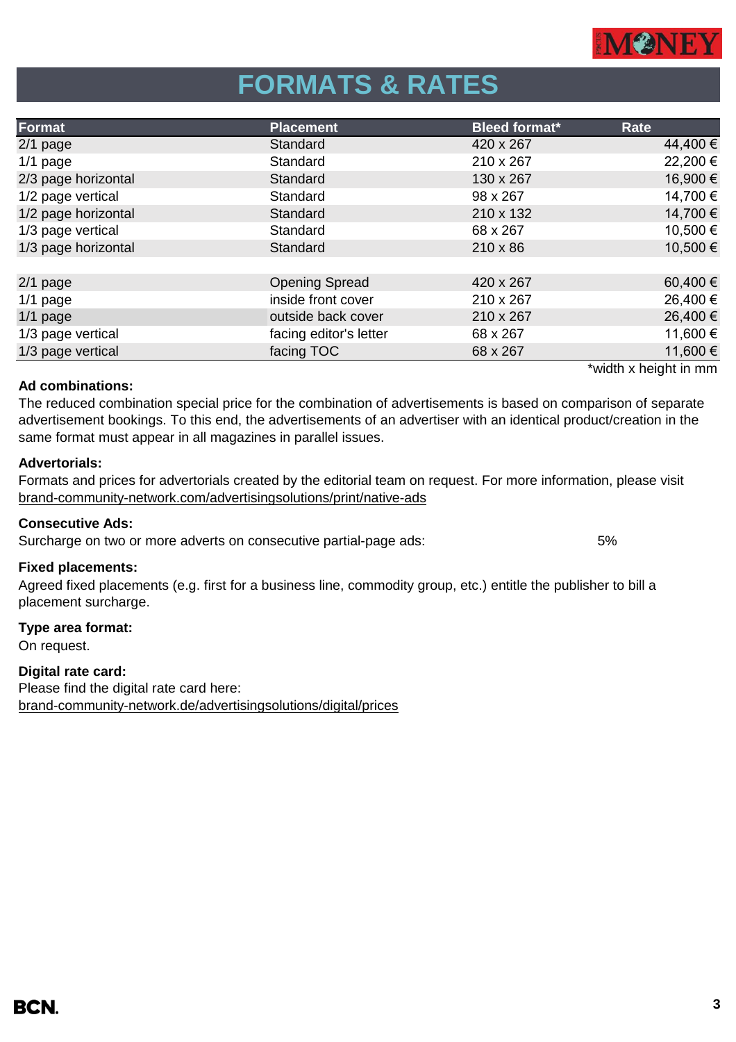

# **FORMATS & RATES**

| <b>Placement</b>       | <b>Bleed format*</b> | Rate     |
|------------------------|----------------------|----------|
| Standard               | 420 x 267            | 44,400 € |
| Standard               | 210 x 267            | 22,200€  |
| Standard               | 130 x 267            | 16,900€  |
| Standard               | 98 x 267             | 14,700 € |
| Standard               | 210 x 132            | 14,700 € |
| Standard               | 68 x 267             | 10,500€  |
| Standard               | $210 \times 86$      | 10,500€  |
|                        |                      |          |
| <b>Opening Spread</b>  | 420 x 267            | 60,400€  |
| inside front cover     | 210 x 267            | 26,400€  |
| outside back cover     | 210 x 267            | 26,400 € |
| facing editor's letter | 68 x 267             | 11,600€  |
| facing TOC             | 68 x 267             | 11,600€  |
|                        |                      |          |

#### **Ad combinations:**

The reduced combination special price for the combination of advertisements is based on comparison of separate advertisement bookings. To this end, the advertisements of an advertiser with an identical product/creation in the same format must appear in all magazines in parallel issues.

#### **Advertorials:**

[brand-community-network.com/advertisin](https://bcn.burda.com/advertisingsolutions/print/native-ads)gsolutions/print/native-ads Formats and prices for advertorials created by the editorial team on request. For more information, please visit

#### **Consecutive Ads:**

Surcharge on two or more adverts on consecutive partial-page ads: 5%

#### **Fixed placements:**

Agreed fixed placements (e.g. first for a business line, commodity group, etc.) entitle the publisher to bill a placement surcharge.

#### **Type area format:**

On request.

### **Digital rate card:**

Please find the digital rate card here: [brand-community-network.de/advertisingsolutions/digital/prices](https://bcn.burda.com/advertisingsolutions/digital/prices) \*width x height in mm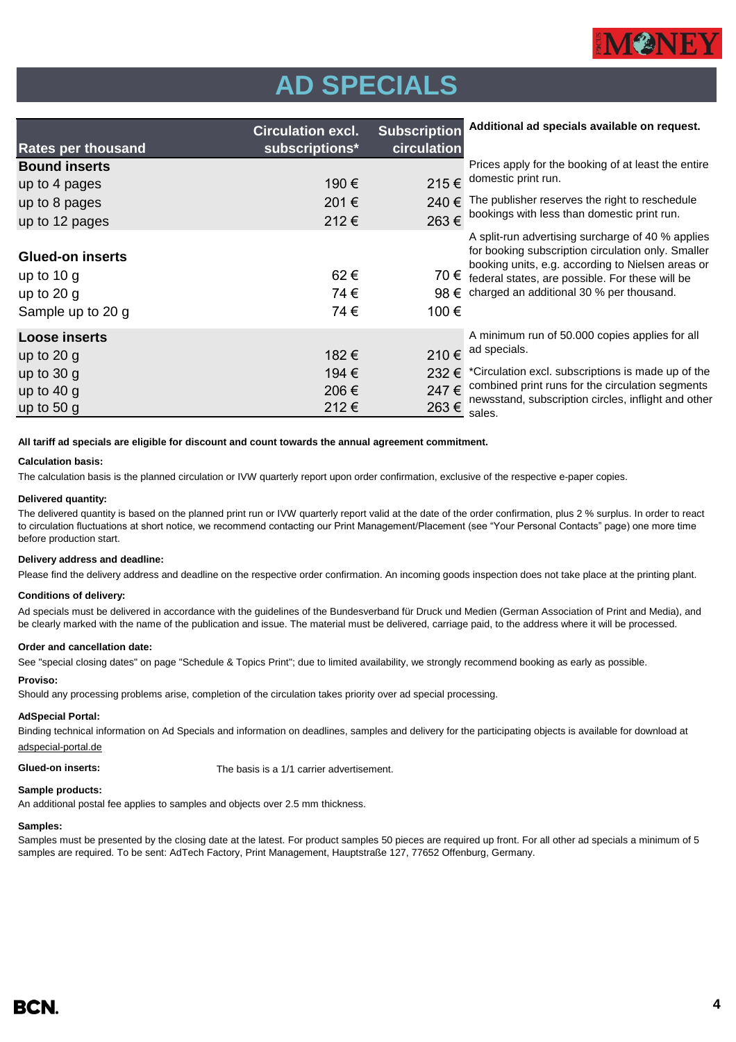

# **AD SPECIALS**

| <b>Rates per thousand</b> | <b>Circulation excl.</b><br>subscriptions* | <b>Subscription</b><br>circulation | Additional ad specials available on request.                                                         |
|---------------------------|--------------------------------------------|------------------------------------|------------------------------------------------------------------------------------------------------|
|                           |                                            |                                    |                                                                                                      |
| <b>Bound inserts</b>      |                                            |                                    | Prices apply for the booking of at least the entire<br>domestic print run.                           |
| up to 4 pages             | 190€                                       | 215€                               |                                                                                                      |
| up to 8 pages             | 201€                                       | 240€                               | The publisher reserves the right to reschedule                                                       |
| up to 12 pages            | 212€                                       | 263€                               | bookings with less than domestic print run.                                                          |
|                           |                                            |                                    | A split-run advertising surcharge of 40 % applies                                                    |
| <b>Glued-on inserts</b>   |                                            |                                    | for booking subscription circulation only. Smaller                                                   |
| up to $10 g$              | 62€                                        | 70 €                               | booking units, e.g. according to Nielsen areas or<br>federal states, are possible. For these will be |
| up to $20 g$              | 74€                                        | $98 \in$                           | charged an additional 30 % per thousand.                                                             |
| Sample up to 20 g         | 74€                                        | 100€                               |                                                                                                      |
| <b>Loose inserts</b>      |                                            |                                    | A minimum run of 50.000 copies applies for all                                                       |
| up to $20$ g              | 182 €                                      | 210€                               | ad specials.                                                                                         |
| up to $30 g$              | 194 €                                      | 232€                               | *Circulation excl. subscriptions is made up of the                                                   |
| up to $40 g$              | 206€                                       | 247€                               | combined print runs for the circulation segments                                                     |
| up to $50 g$              | 212€                                       | 263€                               | newsstand, subscription circles, inflight and other<br>sales.                                        |

**All tariff ad specials are eligible for discount and count towards the annual agreement commitment.**

#### **Calculation basis:**

The calculation basis is the planned circulation or IVW quarterly report upon order confirmation, exclusive of the respective e-paper copies.

#### **Delivered quantity:**

The delivered quantity is based on the planned print run or IVW quarterly report valid at the date of the order confirmation, plus 2 % surplus. In order to react to circulation fluctuations at short notice, we recommend contacting our Print Management/Placement (see "Your Personal Contacts" page) one more time before production start.

#### **Delivery address and deadline:**

Please find the delivery address and deadline on the respective order confirmation. An incoming goods inspection does not take place at the printing plant.

#### **Conditions of delivery:**

Ad specials must be delivered in accordance with the guidelines of the Bundesverband für Druck und Medien (German Association of Print and Media), and be clearly marked with the name of the publication and issue. The material must be delivered, carriage paid, to the address where it will be processed.

#### **Order and cancellation date:**

See "special closing dates" on page "Schedule & Topics Print"; due to limited availability, we strongly recommend booking as early as possible.

#### **Proviso:**

Should any processing problems arise, completion of the circulation takes priority over ad special processing.

#### **AdSpecial Portal:**

Binding technical information on Ad Specials and information on deadlines, samples and delivery for the participating objects is available for download at adspecial-portal.de

**Glued-on inserts:** The basis is a 1/1 carrier advertisement.

#### **Sample products:**

An additional postal fee applies to samples and objects over 2.5 mm thickness.

#### **Samples:**

Samples must be presented by the closing date at the latest. For product samples 50 pieces are required up front. For all other ad specials a minimum of 5 samples are required. To be sent: AdTech Factory, Print Management, Hauptstraße 127, 77652 Offenburg, Germany.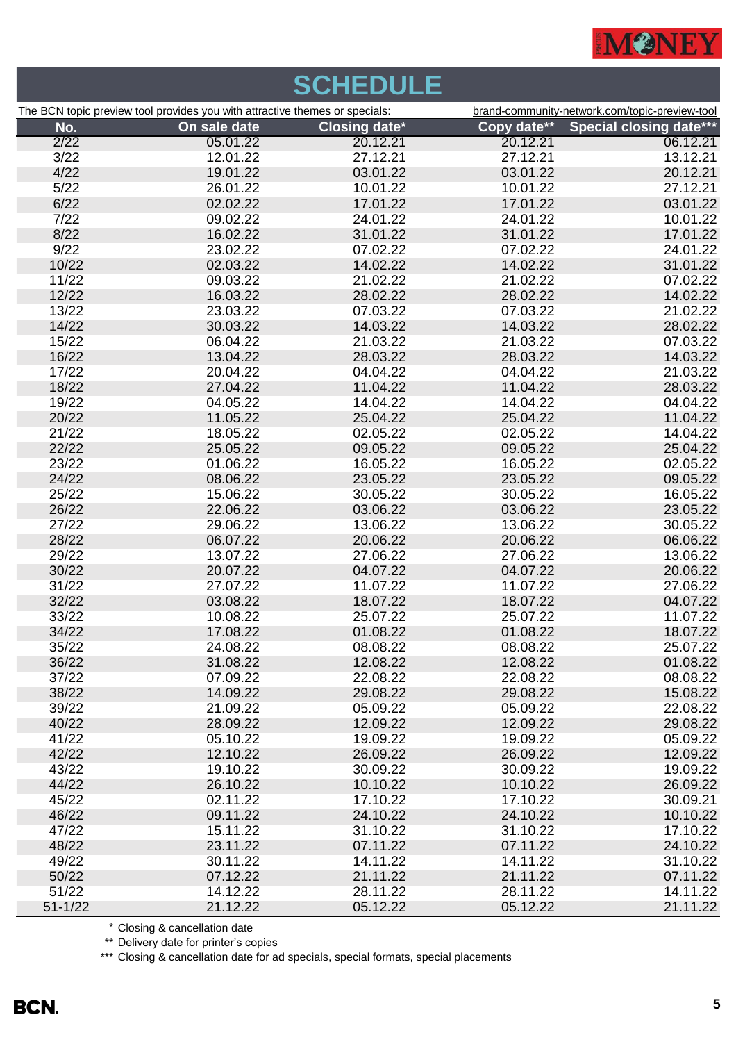

|             |                                                                             | <b>SCHEDULE</b>      |             |                                                |
|-------------|-----------------------------------------------------------------------------|----------------------|-------------|------------------------------------------------|
|             | The BCN topic preview tool provides you with attractive themes or specials: |                      |             | brand-community-network.com/topic-preview-tool |
| No.         | On sale date                                                                | <b>Closing date*</b> | Copy date** | <b>Special closing date***</b>                 |
| 2/22        | 05.01.22                                                                    | 20.12.21             | 20.12.21    | 06.12.21                                       |
| 3/22        | 12.01.22                                                                    | 27.12.21             | 27.12.21    | 13.12.21                                       |
| 4/22        | 19.01.22                                                                    | 03.01.22             | 03.01.22    | 20.12.21                                       |
| 5/22        | 26.01.22                                                                    | 10.01.22             | 10.01.22    | 27.12.21                                       |
| 6/22        | 02.02.22                                                                    | 17.01.22             | 17.01.22    | 03.01.22                                       |
| 7/22        | 09.02.22                                                                    | 24.01.22             | 24.01.22    | 10.01.22                                       |
| 8/22        | 16.02.22                                                                    | 31.01.22             | 31.01.22    | 17.01.22                                       |
| 9/22        | 23.02.22                                                                    | 07.02.22             | 07.02.22    | 24.01.22                                       |
| 10/22       | 02.03.22                                                                    | 14.02.22             | 14.02.22    | 31.01.22                                       |
| 11/22       | 09.03.22                                                                    | 21.02.22             | 21.02.22    | 07.02.22                                       |
| 12/22       | 16.03.22                                                                    | 28.02.22             | 28.02.22    | 14.02.22                                       |
| 13/22       | 23.03.22                                                                    | 07.03.22             | 07.03.22    | 21.02.22                                       |
| 14/22       | 30.03.22                                                                    | 14.03.22             | 14.03.22    | 28.02.22                                       |
| 15/22       | 06.04.22                                                                    | 21.03.22             | 21.03.22    | 07.03.22                                       |
| 16/22       | 13.04.22                                                                    | 28.03.22             | 28.03.22    | 14.03.22                                       |
| 17/22       | 20.04.22                                                                    | 04.04.22             | 04.04.22    | 21.03.22                                       |
| 18/22       | 27.04.22                                                                    | 11.04.22             | 11.04.22    | 28.03.22                                       |
| 19/22       | 04.05.22                                                                    | 14.04.22             | 14.04.22    | 04.04.22                                       |
| 20/22       | 11.05.22                                                                    | 25.04.22             | 25.04.22    | 11.04.22                                       |
| 21/22       | 18.05.22                                                                    | 02.05.22             | 02.05.22    | 14.04.22                                       |
| 22/22       | 25.05.22                                                                    | 09.05.22             | 09.05.22    | 25.04.22                                       |
| 23/22       | 01.06.22                                                                    | 16.05.22             | 16.05.22    | 02.05.22                                       |
| 24/22       | 08.06.22                                                                    | 23.05.22             | 23.05.22    | 09.05.22                                       |
| 25/22       | 15.06.22                                                                    | 30.05.22             | 30.05.22    | 16.05.22                                       |
| 26/22       | 22.06.22                                                                    | 03.06.22             | 03.06.22    | 23.05.22                                       |
| 27/22       | 29.06.22                                                                    | 13.06.22             | 13.06.22    | 30.05.22                                       |
| 28/22       | 06.07.22                                                                    | 20.06.22             | 20.06.22    | 06.06.22                                       |
| 29/22       | 13.07.22                                                                    | 27.06.22             | 27.06.22    | 13.06.22                                       |
| 30/22       | 20.07.22                                                                    | 04.07.22             | 04.07.22    | 20.06.22                                       |
| 31/22       | 27.07.22                                                                    | 11.07.22             | 11.07.22    | 27.06.22                                       |
| 32/22       | 03.08.22                                                                    | 18.07.22             | 18.07.22    | 04.07.22                                       |
| 33/22       | 10.08.22                                                                    | 25.07.22             | 25.07.22    | 11.07.22                                       |
| 34/22       | 17.08.22                                                                    | 01.08.22             | 01.08.22    | 18.07.22                                       |
| 35/22       | 24.08.22                                                                    | 08.08.22             | 08.08.22    | 25.07.22                                       |
| 36/22       | 31.08.22                                                                    | 12.08.22             | 12.08.22    | 01.08.22                                       |
| 37/22       | 07.09.22                                                                    | 22.08.22             | 22.08.22    | 08.08.22                                       |
| 38/22       | 14.09.22                                                                    | 29.08.22             | 29.08.22    | 15.08.22                                       |
| 39/22       | 21.09.22                                                                    | 05.09.22             | 05.09.22    | 22.08.22                                       |
| 40/22       | 28.09.22                                                                    | 12.09.22             | 12.09.22    | 29.08.22                                       |
| 41/22       | 05.10.22                                                                    | 19.09.22             | 19.09.22    | 05.09.22                                       |
| 42/22       | 12.10.22                                                                    | 26.09.22             | 26.09.22    | 12.09.22                                       |
| 43/22       | 19.10.22                                                                    | 30.09.22             | 30.09.22    | 19.09.22                                       |
| 44/22       | 26.10.22                                                                    | 10.10.22             | 10.10.22    | 26.09.22                                       |
| 45/22       | 02.11.22                                                                    | 17.10.22             | 17.10.22    | 30.09.21                                       |
| 46/22       | 09.11.22                                                                    | 24.10.22             | 24.10.22    | 10.10.22                                       |
| 47/22       | 15.11.22                                                                    | 31.10.22             | 31.10.22    | 17.10.22                                       |
| 48/22       | 23.11.22                                                                    | 07.11.22             | 07.11.22    | 24.10.22                                       |
| 49/22       | 30.11.22                                                                    | 14.11.22             | 14.11.22    | 31.10.22                                       |
| 50/22       | 07.12.22                                                                    | 21.11.22             | 21.11.22    | 07.11.22                                       |
| 51/22       | 14.12.22                                                                    | 28.11.22             | 28.11.22    | 14.11.22                                       |
| $51 - 1/22$ | 21.12.22                                                                    | 05.12.22             | 05.12.22    | 21.11.22                                       |

\* Closing & cancellation date

\*\* Delivery date for printer's copies

\*\*\* Closing & cancellation date for ad specials, special formats, special placements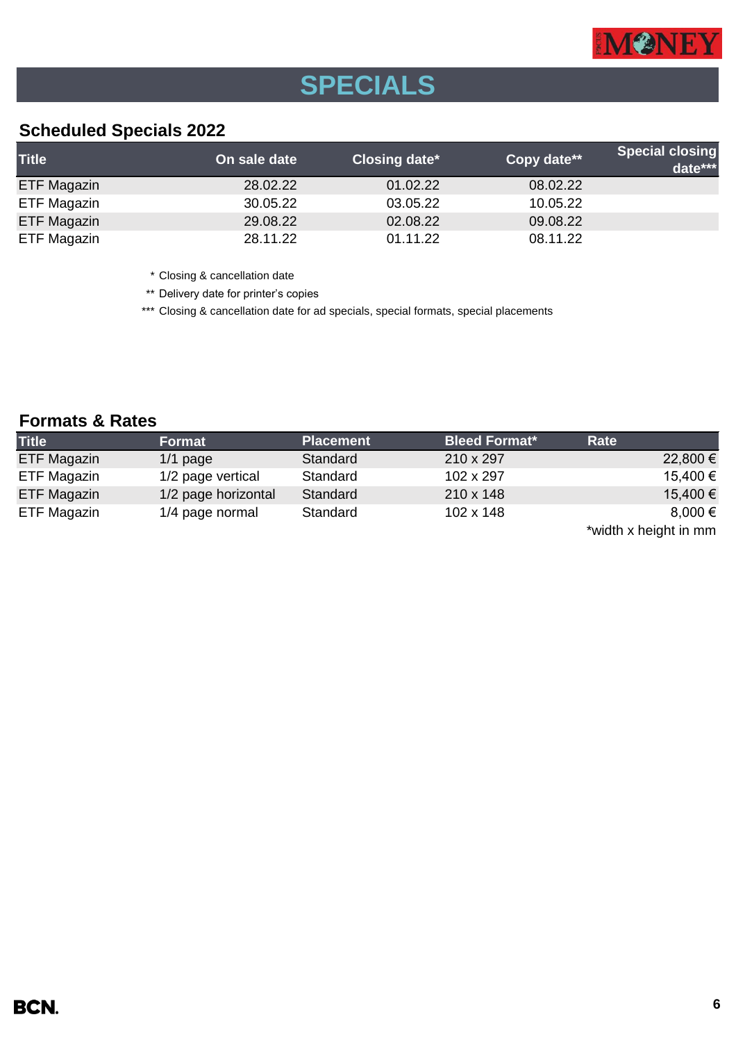

# **SPECIALS**

## **Scheduled Specials 2022**

| <b>Title</b>       | On sale date | Closing date* | Copy date** | <b>Special closing</b><br>date*** |
|--------------------|--------------|---------------|-------------|-----------------------------------|
| ETF Magazin        | 28.02.22     | 01.02.22      | 08.02.22    |                                   |
| ETF Magazin        | 30.05.22     | 03.05.22      | 10.05.22    |                                   |
| <b>ETF Magazin</b> | 29.08.22     | 02.08.22      | 09.08.22    |                                   |
| ETF Magazin        | 28.11.22     | 01.11.22      | 08.11.22    |                                   |

\* Closing & cancellation date

\*\* Delivery date for printer's copies

\*\*\* Closing & cancellation date for ad specials, special formats, special placements

## **Formats & Rates**

| <b>Title</b>       | Format              | <b>Placement</b> | <b>Bleed Format*</b> | Rate        |
|--------------------|---------------------|------------------|----------------------|-------------|
| <b>ETF Magazin</b> | $1/1$ page          | Standard         | 210 x 297            | 22,800 €    |
| ETF Magazin        | 1/2 page vertical   | Standard         | 102 x 297            | 15,400 €    |
| <b>ETF Magazin</b> | 1/2 page horizontal | Standard         | $210 \times 148$     | 15,400 €    |
| ETF Magazin        | 1/4 page normal     | Standard         | 102 x 148            | $8,000 \in$ |

\*width x height in mm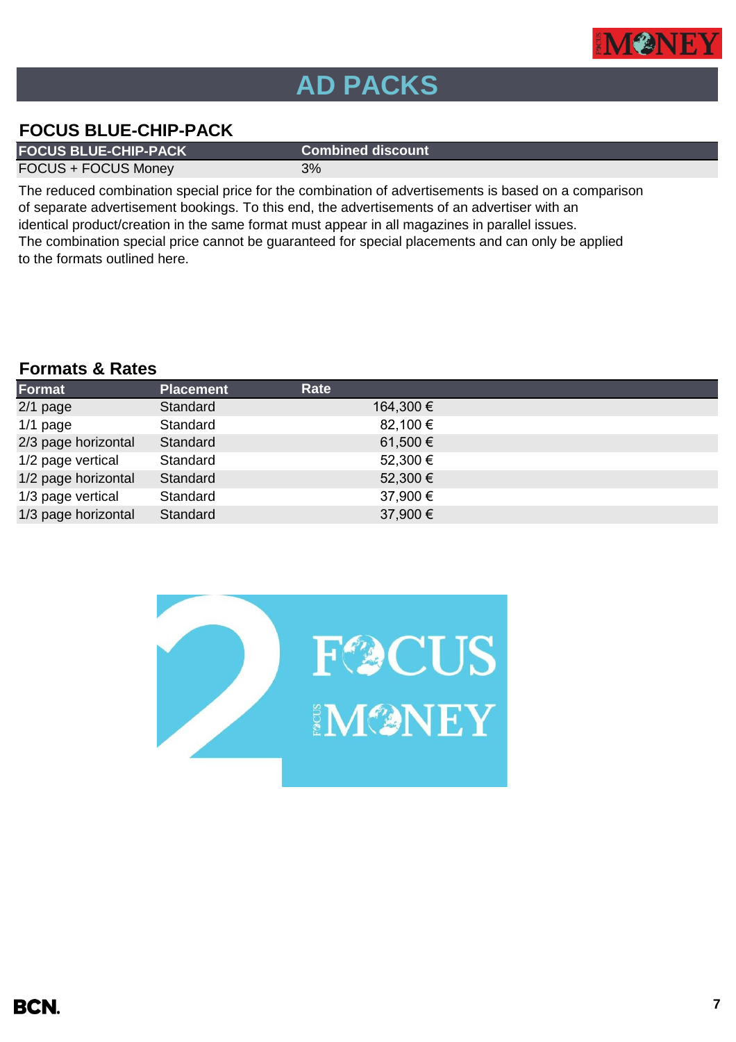

# **AD PACKS**

## **FOCUS BLUE-CHIP-PACK**

**FOCUS BLUE-CHIP-PACK Combined discount**

FOCUS + FOCUS Money 3%

The reduced combination special price for the combination of advertisements is based on a comparison of separate advertisement bookings. To this end, the advertisements of an advertiser with an identical product/creation in the same format must appear in all magazines in parallel issues. The combination special price cannot be guaranteed for special placements and can only be applied to the formats outlined here.

## **Formats & Rates**

| Format              | <b>Placement</b> | Rate      |
|---------------------|------------------|-----------|
| $2/1$ page          | Standard         | 164,300 € |
| $1/1$ page          | Standard         | 82,100 €  |
| 2/3 page horizontal | Standard         | 61,500 €  |
| 1/2 page vertical   | Standard         | 52,300 €  |
| 1/2 page horizontal | Standard         | 52,300 €  |
| 1/3 page vertical   | Standard         | 37,900 €  |
| 1/3 page horizontal | Standard         | 37,900 €  |